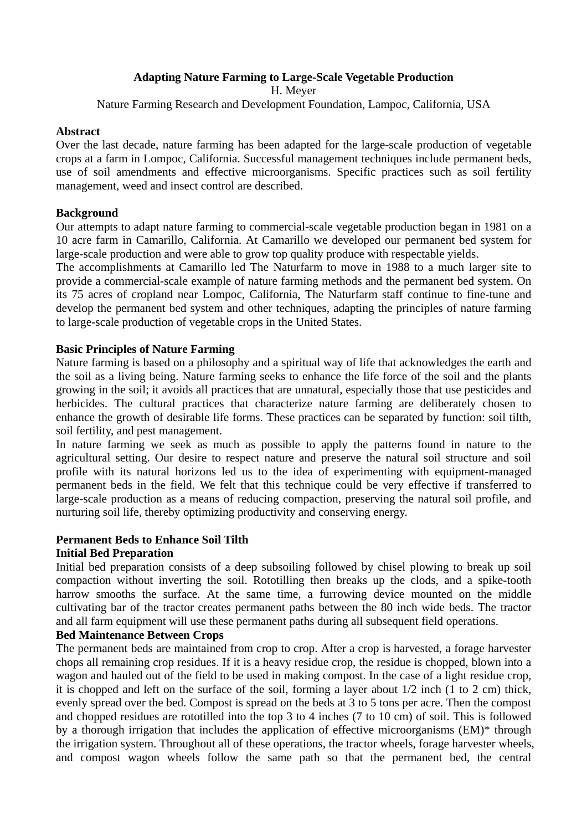# **Adapting Nature Farming to Large-Scale Vegetable Production**

H. Meyer

Nature Farming Research and Development Foundation, Lampoc, California, USA

#### **Abstract**

Over the last decade, nature farming has been adapted for the large-scale production of vegetable crops at a farm in Lompoc, California. Successful management techniques include permanent beds, use of soil amendments and effective microorganisms. Specific practices such as soil fertility management, weed and insect control are described.

#### **Background**

Our attempts to adapt nature farming to commercial-scale vegetable production began in 1981 on a 10 acre farm in Camarillo, California. At Camarillo we developed our permanent bed system for large-scale production and were able to grow top quality produce with respectable yields.

The accomplishments at Camarillo led The Naturfarm to move in 1988 to a much larger site to provide a commercial-scale example of nature farming methods and the permanent bed system. On its 75 acres of cropland near Lompoc, California, The Naturfarm staff continue to fine-tune and develop the permanent bed system and other techniques, adapting the principles of nature farming to large-scale production of vegetable crops in the United States.

#### **Basic Principles of Nature Farming**

Nature farming is based on a philosophy and a spiritual way of life that acknowledges the earth and the soil as a living being. Nature farming seeks to enhance the life force of the soil and the plants growing in the soil; it avoids all practices that are unnatural, especially those that use pesticides and herbicides. The cultural practices that characterize nature farming are deliberately chosen to enhance the growth of desirable life forms. These practices can be separated by function: soil tilth, soil fertility, and pest management.

In nature farming we seek as much as possible to apply the patterns found in nature to the agricultural setting. Our desire to respect nature and preserve the natural soil structure and soil profile with its natural horizons led us to the idea of experimenting with equipment-managed permanent beds in the field. We felt that this technique could be very effective if transferred to large-scale production as a means of reducing compaction, preserving the natural soil profile, and nurturing soil life, thereby optimizing productivity and conserving energy.

#### **Permanent Beds to Enhance Soil Tilth**

#### **Initial Bed Preparation**

Initial bed preparation consists of a deep subsoiling followed by chisel plowing to break up soil compaction without inverting the soil. Rototilling then breaks up the clods, and a spike-tooth harrow smooths the surface. At the same time, a furrowing device mounted on the middle cultivating bar of the tractor creates permanent paths between the 80 inch wide beds. The tractor and all farm equipment will use these permanent paths during all subsequent field operations.

# **Bed Maintenance Between Crops**

The permanent beds are maintained from crop to crop. After a crop is harvested, a forage harvester chops all remaining crop residues. If it is a heavy residue crop, the residue is chopped, blown into a wagon and hauled out of the field to be used in making compost. In the case of a light residue crop, it is chopped and left on the surface of the soil, forming a layer about 1/2 inch (1 to 2 cm) thick, evenly spread over the bed. Compost is spread on the beds at 3 to 5 tons per acre. Then the compost and chopped residues are rototilled into the top 3 to 4 inches (7 to 10 cm) of soil. This is followed by a thorough irrigation that includes the application of effective microorganisms (EM)\* through the irrigation system. Throughout all of these operations, the tractor wheels, forage harvester wheels, and compost wagon wheels follow the same path so that the permanent bed, the central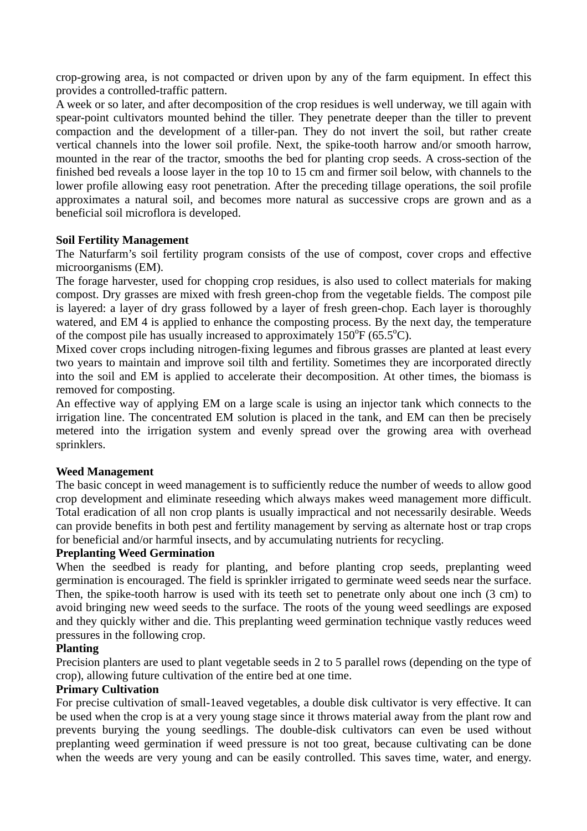crop-growing area, is not compacted or driven upon by any of the farm equipment. In effect this provides a controlled-traffic pattern.

A week or so later, and after decomposition of the crop residues is well underway, we till again with spear-point cultivators mounted behind the tiller. They penetrate deeper than the tiller to prevent compaction and the development of a tiller-pan. They do not invert the soil, but rather create vertical channels into the lower soil profile. Next, the spike-tooth harrow and/or smooth harrow, mounted in the rear of the tractor, smooths the bed for planting crop seeds. A cross-section of the finished bed reveals a loose layer in the top 10 to 15 cm and firmer soil below, with channels to the lower profile allowing easy root penetration. After the preceding tillage operations, the soil profile approximates a natural soil, and becomes more natural as successive crops are grown and as a beneficial soil microflora is developed.

# **Soil Fertility Management**

The Naturfarm's soil fertility program consists of the use of compost, cover crops and effective microorganisms (EM).

The forage harvester, used for chopping crop residues, is also used to collect materials for making compost. Dry grasses are mixed with fresh green-chop from the vegetable fields. The compost pile is layered: a layer of dry grass followed by a layer of fresh green-chop. Each layer is thoroughly watered, and EM 4 is applied to enhance the composting process. By the next day, the temperature of the compost pile has usually increased to approximately  $150^{\circ}F (65.5^{\circ}C)$ .

Mixed cover crops including nitrogen-fixing legumes and fibrous grasses are planted at least every two years to maintain and improve soil tilth and fertility. Sometimes they are incorporated directly into the soil and EM is applied to accelerate their decomposition. At other times, the biomass is removed for composting.

An effective way of applying EM on a large scale is using an injector tank which connects to the irrigation line. The concentrated EM solution is placed in the tank, and EM can then be precisely metered into the irrigation system and evenly spread over the growing area with overhead sprinklers.

#### **Weed Management**

The basic concept in weed management is to sufficiently reduce the number of weeds to allow good crop development and eliminate reseeding which always makes weed management more difficult. Total eradication of all non crop plants is usually impractical and not necessarily desirable. Weeds can provide benefits in both pest and fertility management by serving as alternate host or trap crops for beneficial and/or harmful insects, and by accumulating nutrients for recycling.

#### **Preplanting Weed Germination**

When the seedbed is ready for planting, and before planting crop seeds, preplanting weed germination is encouraged. The field is sprinkler irrigated to germinate weed seeds near the surface. Then, the spike-tooth harrow is used with its teeth set to penetrate only about one inch (3 cm) to avoid bringing new weed seeds to the surface. The roots of the young weed seedlings are exposed and they quickly wither and die. This preplanting weed germination technique vastly reduces weed pressures in the following crop.

#### **Planting**

Precision planters are used to plant vegetable seeds in 2 to 5 parallel rows (depending on the type of crop), allowing future cultivation of the entire bed at one time.

# **Primary Cultivation**

For precise cultivation of small-1eaved vegetables, a double disk cultivator is very effective. It can be used when the crop is at a very young stage since it throws material away from the plant row and prevents burying the young seedlings. The double-disk cultivators can even be used without preplanting weed germination if weed pressure is not too great, because cultivating can be done when the weeds are very young and can be easily controlled. This saves time, water, and energy.